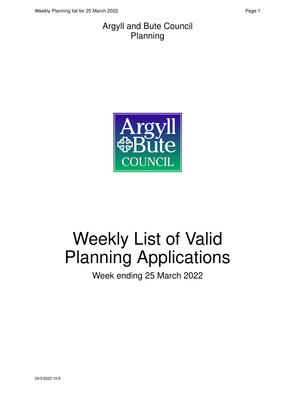#### Argyll and Bute Council Planning



# Weekly List of Valid Planning Applications

Week ending 25 March 2022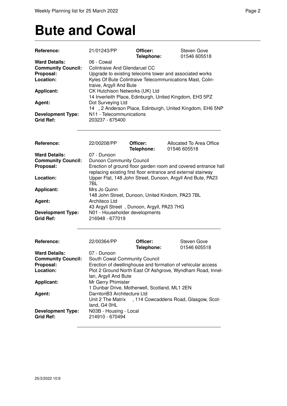#### **Bute and Cowal**

| Reference:                | 21/01243/PP                                               | Officer:<br>Telephone:                           | Steven Gove<br>01546 605518                                    |  |
|---------------------------|-----------------------------------------------------------|--------------------------------------------------|----------------------------------------------------------------|--|
| <b>Ward Details:</b>      | 06 - Cowal                                                |                                                  |                                                                |  |
| <b>Community Council:</b> | <b>Colintraive And Glendaruel CC</b>                      |                                                  |                                                                |  |
| Proposal:                 |                                                           |                                                  | Upgrade to existing telecoms tower and associated works        |  |
| Location:                 | Kyles Of Bute Colintraive Telecommunications Mast, Colin- |                                                  |                                                                |  |
|                           | traive, Argyll And Bute                                   |                                                  |                                                                |  |
| <b>Applicant:</b>         | CK Hutchison Networks (UK) Ltd                            |                                                  |                                                                |  |
|                           |                                                           |                                                  | 14 Inverleith Place, Edinburgh, United Kingdom, EH3 5PZ        |  |
| Agent:                    | Dot Surveying Ltd                                         |                                                  |                                                                |  |
|                           |                                                           |                                                  | 14, 2 Anderson Place, Edinburgh, United Kingdom, EH6 5NP       |  |
| <b>Development Type:</b>  | N11 - Telecommunications                                  |                                                  |                                                                |  |
| <b>Grid Ref:</b>          | 203237 - 675400                                           |                                                  |                                                                |  |
|                           |                                                           |                                                  |                                                                |  |
| Reference:                | 22/00208/PP                                               | Officer:<br>Telephone:                           | Allocated To Area Office<br>01546 605518                       |  |
| <b>Ward Details:</b>      | 07 - Dunoon                                               |                                                  |                                                                |  |
| <b>Community Council:</b> | <b>Dunoon Community Council</b>                           |                                                  |                                                                |  |
| Proposal:                 |                                                           |                                                  | Erection of ground floor garden room and covered entrance hall |  |
|                           |                                                           |                                                  | replacing existing first floor entrance and external stairway  |  |
| Location:                 |                                                           |                                                  | Upper Flat, 148 John Street, Dunoon, Argyll And Bute, PA23     |  |
|                           | 7BL                                                       |                                                  |                                                                |  |
| <b>Applicant:</b>         | Mrs Jo Quinn                                              |                                                  |                                                                |  |
|                           |                                                           | 148 John Street, Dunoon, United Kindom, PA23 7BL |                                                                |  |
| Agent:                    | Architeco Ltd                                             |                                                  |                                                                |  |
|                           |                                                           | 43 Argyll Street, Dunoon, Argyll, PA23 7HG       |                                                                |  |
| <b>Development Type:</b>  | N01 - Householder developments                            |                                                  |                                                                |  |
| <b>Grid Ref:</b>          | 216948 - 677019                                           |                                                  |                                                                |  |
|                           |                                                           |                                                  |                                                                |  |
| Reference:                | 22/00364/PP                                               | Officer:                                         | Steven Gove                                                    |  |
|                           |                                                           | Telephone:                                       | 01546 605518                                                   |  |
| <b>Ward Details:</b>      | 07 - Dunoon                                               |                                                  |                                                                |  |
| <b>Community Council:</b> | South Cowal Community Council                             |                                                  |                                                                |  |
| Proposal:                 |                                                           |                                                  | Erection of dwellinghouse and formation of vehicular access    |  |
| Location:                 |                                                           |                                                  | Plot 2 Ground North East Of Ashgrove, Wyndham Road, Innel-     |  |
|                           | lan, Argyll And Bute                                      |                                                  |                                                                |  |
| <b>Applicant:</b>         | Mr Gerry Phimister                                        |                                                  |                                                                |  |
|                           |                                                           | 1 Dunbar Drive, Motherwell, Scotland, ML1 2EN    |                                                                |  |
| Agent:                    | DarntonB3 Architecture Ltd                                |                                                  |                                                                |  |
|                           |                                                           |                                                  | Unit 2 The Matrix , 114 Cowcaddens Road, Glasgow, Scot-        |  |
|                           | land, G4 0HL                                              |                                                  |                                                                |  |
| <b>Development Type:</b>  | N03B - Housing - Local                                    |                                                  |                                                                |  |
| <b>Grid Ref:</b>          | 214910 - 670494                                           |                                                  |                                                                |  |
|                           |                                                           |                                                  |                                                                |  |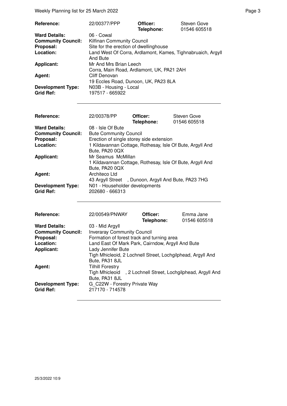Weekly Planning list for 25 March 2022 **Page 3** Page 3

| Reference:                                   | 22/00377/PPP                                                            | Officer:<br>Telephone: | Steven Gove<br>01546 605518 |
|----------------------------------------------|-------------------------------------------------------------------------|------------------------|-----------------------------|
| <b>Ward Details:</b>                         | 06 - Cowal                                                              |                        |                             |
| <b>Community Council:</b>                    | <b>Kilfinan Community Council</b>                                       |                        |                             |
| Proposal:                                    | Site for the erection of dwellinghouse                                  |                        |                             |
| Location:                                    | Land West Of Corra, Ardlamont, Kames, Tighnabruaich, Argyll<br>And Bute |                        |                             |
| <b>Applicant:</b>                            | Mr And Mrs Brian Leech<br>Corra, Main Road, Ardlamont, UK, PA21 2AH     |                        |                             |
| Agent:                                       | Cliff Denovan<br>19 Eccles Road, Dunoon, UK, PA23 8LA                   |                        |                             |
| <b>Development Type:</b><br><b>Grid Ref:</b> | N03B - Housing - Local<br>197517 - 665922                               |                        |                             |

| <b>Reference:</b>         | 22/00378/PP                                               | Officer:<br>Telephone: | Steven Gove<br>01546 605518 |
|---------------------------|-----------------------------------------------------------|------------------------|-----------------------------|
| <b>Ward Details:</b>      | 08 - Isle Of Bute                                         |                        |                             |
| <b>Community Council:</b> | <b>Bute Community Council</b>                             |                        |                             |
| Proposal:                 | Erection of single storey side extension                  |                        |                             |
| Location:                 | 1 Kildavannan Cottage, Rothesay, Isle Of Bute, Argyll And |                        |                             |
|                           | Bute, PA20 0QX                                            |                        |                             |
| <b>Applicant:</b>         | Mr Seamus McMillan                                        |                        |                             |
|                           | 1 Kildavannan Cottage, Rothesay, Isle Of Bute, Argyll And |                        |                             |
|                           | Bute, PA20 0QX                                            |                        |                             |
| Agent:                    | Architeco Ltd                                             |                        |                             |
|                           | 43 Argyll Street , Dunoon, Argyll And Bute, PA23 7HG      |                        |                             |
| <b>Development Type:</b>  | N01 - Householder developments                            |                        |                             |
| <b>Grid Ref:</b>          | 202680 - 666313                                           |                        |                             |
|                           |                                                           |                        |                             |
|                           |                                                           |                        |                             |

| Reference:                | 22/00549/PNWAY                                              | Officer:   | Emma Jane    |
|---------------------------|-------------------------------------------------------------|------------|--------------|
|                           |                                                             | Telephone: | 01546 605518 |
| <b>Ward Details:</b>      | 03 - Mid Argyll                                             |            |              |
| <b>Community Council:</b> | <b>Inveraray Community Council</b>                          |            |              |
| Proposal:                 | Formation of forest track and turning area                  |            |              |
| Location:                 | Land East Of Mark Park, Cairndow, Argyll And Bute           |            |              |
| <b>Applicant:</b>         | Lady Jennifer Bute                                          |            |              |
|                           | Tigh Mhicleoid, 2 Lochnell Street, Lochgilphead, Argyll And |            |              |
|                           | Bute, PA31 8JL                                              |            |              |
| Agent:                    | <b>Tilhill Forestry</b>                                     |            |              |
|                           | Tigh Mhicleoid, 2 Lochnell Street, Lochgilphead, Argyll And |            |              |
|                           | Bute, PA31 8JL                                              |            |              |
| <b>Development Type:</b>  | G C22W - Forestry Private Way                               |            |              |
| <b>Grid Ref:</b>          | 217170 - 714578                                             |            |              |
|                           |                                                             |            |              |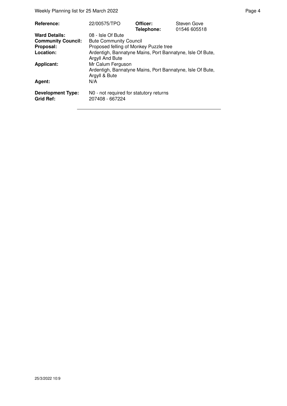Weekly Planning list for 25 March 2022 **Page 4** Page 4

| <b>Reference:</b>                                 | 22/00575/TPO                                                                                    | Officer:<br>Telephone: | Steven Gove<br>01546 605518 |
|---------------------------------------------------|-------------------------------------------------------------------------------------------------|------------------------|-----------------------------|
| <b>Ward Details:</b><br><b>Community Council:</b> | 08 - Isle Of Bute<br><b>Bute Community Council</b>                                              |                        |                             |
| Proposal:                                         | Proposed felling of Monkey Puzzle tree                                                          |                        |                             |
| Location:                                         | Ardentigh, Bannatyne Mains, Port Bannatyne, Isle Of Bute,<br>Argyll And Bute                    |                        |                             |
| <b>Applicant:</b>                                 | Mr Calum Ferguson<br>Ardentigh, Bannatyne Mains, Port Bannatyne, Isle Of Bute,<br>Argyll & Bute |                        |                             |
| Agent:                                            | N/A                                                                                             |                        |                             |
| <b>Development Type:</b><br><b>Grid Ref:</b>      | NO - not required for statutory returns<br>207408 - 667224                                      |                        |                             |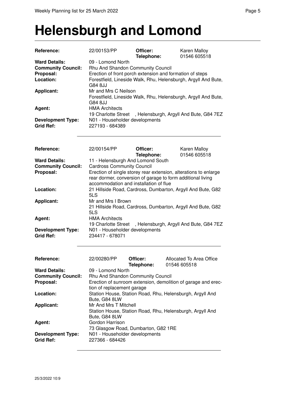#### **Helensburgh and Lomond**

| Reference:                                                                                       | 22/00153/PP                                                                                                                                                                                                                                                                                          | Officer:<br>Telephone: | <b>Karen Malloy</b><br>01546 605518                                                                                             |  |  |
|--------------------------------------------------------------------------------------------------|------------------------------------------------------------------------------------------------------------------------------------------------------------------------------------------------------------------------------------------------------------------------------------------------------|------------------------|---------------------------------------------------------------------------------------------------------------------------------|--|--|
| <b>Ward Details:</b><br><b>Community Council:</b><br>Proposal:<br>Location:<br><b>Applicant:</b> | 09 - Lomond North<br>Rhu And Shandon Community Council<br>Erection of front porch extension and formation of steps<br>Forestfield, Lineside Walk, Rhu, Helensburgh, Argyll And Bute,<br>G84 8JJ<br>Mr and Mrs C Neilson<br>Forestfield, Lineside Walk, Rhu, Helensburgh, Argyll And Bute,<br>G84 8JJ |                        |                                                                                                                                 |  |  |
| Agent:<br><b>Development Type:</b><br><b>Grid Ref:</b>                                           | <b>HMA Architects</b><br>19 Charlotte Street<br>N01 - Householder developments<br>227193 - 684389                                                                                                                                                                                                    |                        | , Helensburgh, Argyll And Bute, G84 7EZ                                                                                         |  |  |
|                                                                                                  |                                                                                                                                                                                                                                                                                                      |                        |                                                                                                                                 |  |  |
| Reference:                                                                                       | 22/00154/PP                                                                                                                                                                                                                                                                                          | Officer:<br>Telephone: | Karen Malloy<br>01546 605518                                                                                                    |  |  |
| <b>Ward Details:</b><br><b>Community Council:</b><br>Proposal:                                   | 11 - Helensburgh And Lomond South<br><b>Cardross Community Council</b><br>accommodation and installation of flue                                                                                                                                                                                     |                        | Erection of single storey rear extension, alterations to enlarge<br>rear dormer, conversion of garage to form additional living |  |  |
| Location:                                                                                        | 5LS                                                                                                                                                                                                                                                                                                  |                        | 21 Hillside Road, Cardross, Dumbarton, Argyll And Bute, G82                                                                     |  |  |
| <b>Applicant:</b>                                                                                | Mr and Mrs I Brown<br>5LS                                                                                                                                                                                                                                                                            |                        | 21 Hillside Road, Cardross, Dumbarton, Argyll And Bute, G82                                                                     |  |  |
| Agent:                                                                                           | <b>HMA Architects</b>                                                                                                                                                                                                                                                                                |                        | 19 Charlotte Street, Helensburgh, Argyll And Bute, G84 7EZ                                                                      |  |  |
| <b>Development Type:</b><br><b>Grid Ref:</b>                                                     | N01 - Householder developments<br>234417 - 678071                                                                                                                                                                                                                                                    |                        |                                                                                                                                 |  |  |
| Reference:                                                                                       | 22/00280/PP                                                                                                                                                                                                                                                                                          | Officer:<br>Telephone: | Allocated To Area Office<br>01546 605518                                                                                        |  |  |
| <b>Ward Details:</b><br><b>Community Council:</b><br>Proposal:                                   | 09 - Lomond North<br>Rhu And Shandon Community Council<br>Erection of sunroom extension, demolition of garage and erec-<br>tion of replacement garage                                                                                                                                                |                        |                                                                                                                                 |  |  |
| Location:                                                                                        | Bute, G84 8LW                                                                                                                                                                                                                                                                                        |                        | Station House, Station Road, Rhu, Helensburgh, Argyll And                                                                       |  |  |
| <b>Applicant:</b>                                                                                | Mr And Mrs T Mitchell<br>Bute, G84 8LW                                                                                                                                                                                                                                                               |                        | Station House, Station Road, Rhu, Helensburgh, Argyll And                                                                       |  |  |
| Agent:                                                                                           | Gordon Harrison<br>73 Glasgow Road, Dumbarton, G82 1RE                                                                                                                                                                                                                                               |                        |                                                                                                                                 |  |  |
| <b>Development Type:</b><br><b>Grid Ref:</b>                                                     | N01 - Householder developments<br>227366 - 684426                                                                                                                                                                                                                                                    |                        |                                                                                                                                 |  |  |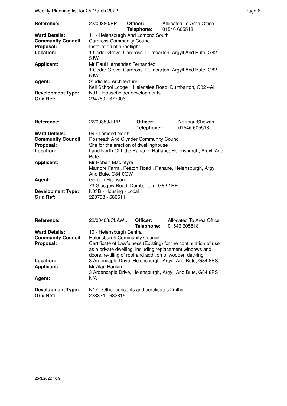Weekly Planning list for 25 March 2022 **Page 6** and the extent of the Page 6

| Reference:                | 22/00380/PP                                              | Officer:<br>Telephone: 01546 605518 | Allocated To Area Office                                 |
|---------------------------|----------------------------------------------------------|-------------------------------------|----------------------------------------------------------|
| <b>Ward Details:</b>      | 11 - Helensburgh And Lomond South                        |                                     |                                                          |
| <b>Community Council:</b> | <b>Cardross Community Council</b>                        |                                     |                                                          |
| Proposal:                 | Installation of a rooflight                              |                                     |                                                          |
| Location:                 |                                                          |                                     | 1 Cedar Grove, Cardross, Dumbarton, Argyll And Bute, G82 |
|                           | 5.IW                                                     |                                     |                                                          |
| Applicant:                | Mr Raul Hernandez Fernandez                              |                                     |                                                          |
|                           | 1 Cedar Grove, Cardross, Dumbarton, Argyll And Bute, G82 |                                     |                                                          |
|                           | 5.IW                                                     |                                     |                                                          |
| Agent:                    | StudioTed Architecture                                   |                                     |                                                          |
|                           | Keil School Lodge, Helenslee Road, Dumbarton, G82 4AH    |                                     |                                                          |
| <b>Development Type:</b>  | N01 - Householder developments                           |                                     |                                                          |
| <b>Grid Ref:</b>          | 234750 - 677306                                          |                                     |                                                          |

| <b>Reference:</b>                            | 22/00389/PPP                                                                                      | Officer:<br>Telephone: | Norman Shewan<br>01546 605518                                |
|----------------------------------------------|---------------------------------------------------------------------------------------------------|------------------------|--------------------------------------------------------------|
| <b>Ward Details:</b>                         | 09 - Lomond North                                                                                 |                        |                                                              |
| <b>Community Council:</b>                    | <b>Rosneath And Clynder Community Council</b>                                                     |                        |                                                              |
| Proposal:                                    | Site for the erection of dwellinghouse                                                            |                        |                                                              |
| Location:                                    | <b>Bute</b>                                                                                       |                        | Land North Of Little Rahane, Rahane, Helensburgh, Argyll And |
| <b>Applicant:</b>                            | Mr Robert MacIntyre<br>Mamore Farm, Peaton Road, Rahane, Helensburgh, Argyll<br>And Bute, G84 0QW |                        |                                                              |
| Agent:                                       | Gordon Harrison<br>73 Glasgow Road, Dumbarton, G82 1RE                                            |                        |                                                              |
| <b>Development Type:</b><br><b>Grid Ref:</b> | N03B - Housing - Local<br>223738 - 686511                                                         |                        |                                                              |

| <b>Reference:</b>                            | 22/00408/CLAWU                                                                                                                                                                          | Officer:<br>Telephone: | Allocated To Area Office<br>01546 605518 |  |
|----------------------------------------------|-----------------------------------------------------------------------------------------------------------------------------------------------------------------------------------------|------------------------|------------------------------------------|--|
| <b>Ward Details:</b>                         | 10 - Helensburgh Central                                                                                                                                                                |                        |                                          |  |
| <b>Community Council:</b>                    | <b>Helensburgh Community Council</b>                                                                                                                                                    |                        |                                          |  |
| Proposal:                                    | Certificate of Lawfulness (Existing) for the continuation of use<br>as a private dwelling, including replacement windows and<br>doors, re-tiling of roof and addition of wooden decking |                        |                                          |  |
| Location:<br><b>Applicant:</b>               | 3 Ardencaple Drive, Helensburgh, Argyll And Bute, G84 8PS<br>Mr Alan Rankin                                                                                                             |                        |                                          |  |
|                                              | 3 Ardencaple Drive, Helensburgh, Argyll And Bute, G84 8PS                                                                                                                               |                        |                                          |  |
| Agent:                                       | N/A                                                                                                                                                                                     |                        |                                          |  |
| <b>Development Type:</b><br><b>Grid Ref:</b> | N17 - Other consents and certificates 2mths<br>228334 - 682815                                                                                                                          |                        |                                          |  |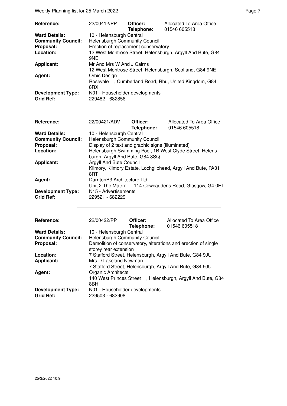Weekly Planning list for 25 March 2022 **Page 7** All 2022 **Page 7** All 2014 **Page 7** All 2014 **Page 7** 

| <b>Reference:</b>         | 22/00412/PP                                                                          | Officer:<br>Telephone: | Allocated To Area Office<br>01546 605518 |
|---------------------------|--------------------------------------------------------------------------------------|------------------------|------------------------------------------|
| <b>Ward Details:</b>      | 10 - Helensburgh Central                                                             |                        |                                          |
| <b>Community Council:</b> | Helensburgh Community Council                                                        |                        |                                          |
| Proposal:                 | Erection of replacement conservatory                                                 |                        |                                          |
| Location:                 | 12 West Montrose Street, Helensburgh, Argyll And Bute, G84                           |                        |                                          |
|                           | 9NE                                                                                  |                        |                                          |
| <b>Applicant:</b>         | Mr And Mrs W And J Cairns<br>12 West Montrose Street, Helensburgh, Scotland, G84 9NE |                        |                                          |
| Agent:                    | Orbis Design                                                                         |                        |                                          |
|                           | Rosevale, Cumberland Road, Rhu, United Kingdom, G84                                  |                        |                                          |
|                           | 8RX                                                                                  |                        |                                          |
| <b>Development Type:</b>  | N01 - Householder developments                                                       |                        |                                          |
| <b>Grid Ref:</b>          | 229482 - 682856                                                                      |                        |                                          |

| <b>Reference:</b>                            | 22/00421/ADV                                             | Officer:<br>Telephone: | Allocated To Area Office<br>01546 605518                     |
|----------------------------------------------|----------------------------------------------------------|------------------------|--------------------------------------------------------------|
| <b>Ward Details:</b>                         | 10 - Helensburgh Central                                 |                        |                                                              |
| <b>Community Council:</b>                    | <b>Helensburgh Community Council</b>                     |                        |                                                              |
| Proposal:                                    | Display of 2 text and graphic signs (illuminated)        |                        |                                                              |
| Location:                                    | Helensburgh Swimming Pool, 1B West Clyde Street, Helens- |                        |                                                              |
|                                              | burgh, Argyll And Bute, G84 8SQ                          |                        |                                                              |
| <b>Applicant:</b>                            | Argyll And Bute Council                                  |                        |                                                              |
|                                              | 8RT                                                      |                        | Kilmory, Kilmory Estate, Lochgilphead, Argyll And Bute, PA31 |
| Agent:                                       | DarntonB3 Architecture Ltd                               |                        |                                                              |
|                                              |                                                          |                        | Unit 2 The Matrix , 114 Cowcaddens Road, Glasgow, G4 0HL     |
| <b>Development Type:</b><br><b>Grid Ref:</b> | N <sub>15</sub> - Advertisements<br>229521 - 682229      |                        |                                                              |

| <b>Reference:</b>                            | 22/00422/PP                                                                       | Officer:<br>Telephone: | Allocated To Area Office<br>01546 605518                       |
|----------------------------------------------|-----------------------------------------------------------------------------------|------------------------|----------------------------------------------------------------|
| <b>Ward Details:</b>                         | 10 - Helensburgh Central                                                          |                        |                                                                |
| <b>Community Council:</b>                    | <b>Helensburgh Community Council</b>                                              |                        |                                                                |
| Proposal:                                    |                                                                                   |                        | Demolition of conservatory, alterations and erection of single |
|                                              | storey rear extension                                                             |                        |                                                                |
| Location:                                    | 7 Stafford Street, Helensburgh, Argyll And Bute, G84 9JU                          |                        |                                                                |
| <b>Applicant:</b>                            | Mrs D Lakeland Newman                                                             |                        |                                                                |
|                                              | 7 Stafford Street, Helensburgh, Argyll And Bute, G84 9JU                          |                        |                                                                |
| Agent:                                       | Organic Architects                                                                |                        |                                                                |
|                                              | 140 West Princes Street<br>, Helensburgh, Argyll And Bute, G84<br>8 <sub>BH</sub> |                        |                                                                |
| <b>Development Type:</b><br><b>Grid Ref:</b> | N01 - Householder developments<br>229503 - 682908                                 |                        |                                                                |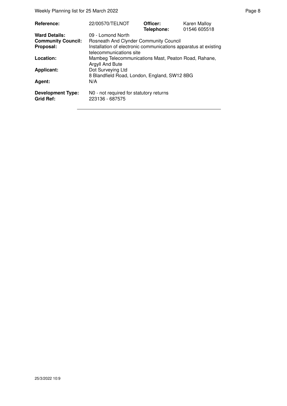Weekly Planning list for 25 March 2022 **Page 8** Page 8

| <b>Reference:</b>                            | 22/00570/TELNOT                                                                            | Officer:<br>Telephone: | Karen Malloy<br>01546 605518 |
|----------------------------------------------|--------------------------------------------------------------------------------------------|------------------------|------------------------------|
| <b>Ward Details:</b>                         | 09 - Lomond North                                                                          |                        |                              |
| <b>Community Council:</b>                    | <b>Rosneath And Clynder Community Council</b>                                              |                        |                              |
| Proposal:                                    | Installation of electronic communications apparatus at existing<br>telecommunications site |                        |                              |
| Location:                                    | Mambeg Telecommunications Mast, Peaton Road, Rahane,<br>Argyll And Bute                    |                        |                              |
| <b>Applicant:</b>                            | Dot Surveying Ltd<br>8 Blandfield Road, London, England, SW12 8BG                          |                        |                              |
| Agent:                                       | N/A                                                                                        |                        |                              |
| <b>Development Type:</b><br><b>Grid Ref:</b> | N0 - not required for statutory returns<br>223136 - 687575                                 |                        |                              |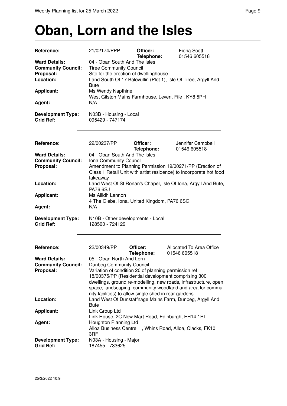## **Oban, Lorn and the Isles**

| Reference:                                         | 21/02174/PPP                                                            | Officer:<br>Telephone: | <b>Fiona Scott</b><br>01546 605518                                                                                              |
|----------------------------------------------------|-------------------------------------------------------------------------|------------------------|---------------------------------------------------------------------------------------------------------------------------------|
| <b>Ward Details:</b>                               | 04 - Oban South And The Isles                                           |                        |                                                                                                                                 |
| <b>Community Council:</b>                          | <b>Tiree Community Council</b>                                          |                        |                                                                                                                                 |
| Proposal:                                          | Site for the erection of dwellinghouse                                  |                        |                                                                                                                                 |
| Location:                                          | <b>Bute</b>                                                             |                        | Land South Of 17 Balevullin (Plot 1), Isle Of Tiree, Argyll And                                                                 |
| <b>Applicant:</b>                                  | Ms Wendy Napthine<br>West Gilston Mains Farmhouse, Leven, Fife, KY8 5PH |                        |                                                                                                                                 |
| Agent:                                             | N/A                                                                     |                        |                                                                                                                                 |
| <b>Development Type:</b><br><b>Grid Ref:</b>       | N03B - Housing - Local<br>095429 - 747174                               |                        |                                                                                                                                 |
| Reference:                                         | 22/00237/PP                                                             | Officer:<br>Telephone: | Jennifer Campbell<br>01546 605518                                                                                               |
| <b>Ward Details:</b>                               | 04 - Oban South And The Isles                                           |                        |                                                                                                                                 |
| <b>Community Council:</b>                          | Iona Community Council                                                  |                        |                                                                                                                                 |
| Proposal:                                          | takeaway                                                                |                        | Amendment to Planning Permission 19/00271/PP (Erection of<br>Class 1 Retail Unit with artist residence) to incorporate hot food |
| Location:                                          |                                                                         |                        | Land West Of St Ronan's Chapel, Isle Of Iona, Argyll And Bute,                                                                  |
|                                                    | <b>PA76 6SJ</b>                                                         |                        |                                                                                                                                 |
| <b>Applicant:</b>                                  | Ms Ailidh Lennon                                                        |                        |                                                                                                                                 |
|                                                    | 4 The Glebe, Iona, United Kingdom, PA76 6SG                             |                        |                                                                                                                                 |
| Agent:                                             | N/A                                                                     |                        |                                                                                                                                 |
| <b>Development Type:</b><br><b>Grid Ref:</b>       | N10B - Other developments - Local<br>128500 - 724129                    |                        |                                                                                                                                 |
| Reference:                                         | 22/00349/PP                                                             | Officer:<br>Telephone: | Allocated To Area Office<br>01546 605518                                                                                        |
| <b>Ward Details:</b>                               | 05 - Oban North And Lorn                                                |                        |                                                                                                                                 |
| <b>Community Council:</b> Dunbeg Community Council |                                                                         |                        |                                                                                                                                 |
| Proposal:                                          | Variation of condition 20 of planning permission ref:                   |                        |                                                                                                                                 |
|                                                    |                                                                         |                        | 18/00375/PP (Residential development comprising 300                                                                             |
|                                                    |                                                                         |                        | dwellings, ground re-modelling, new roads, infrastructure, open<br>space, landscaping, community woodland and area for commu-   |
|                                                    | nity facilities) to allow single shed in rear gardens                   |                        |                                                                                                                                 |
| Location:                                          |                                                                         |                        | Land West Of Dunstaffnage Mains Farm, Dunbeg, Argyll And                                                                        |
|                                                    | Bute                                                                    |                        |                                                                                                                                 |
| <b>Applicant:</b>                                  | Link Group Ltd                                                          |                        |                                                                                                                                 |
| Agent:                                             | Houghton Planning Ltd                                                   |                        | Link House, 2C New Mart Road, Edinburgh, EH14 1RL                                                                               |
|                                                    | Alloa Business Centre                                                   |                        | , Whins Road, Alloa, Clacks, FK10                                                                                               |
|                                                    | 3RF                                                                     |                        |                                                                                                                                 |
| <b>Development Type:</b><br><b>Grid Ref:</b>       | N03A - Housing - Major<br>187455 - 733625                               |                        |                                                                                                                                 |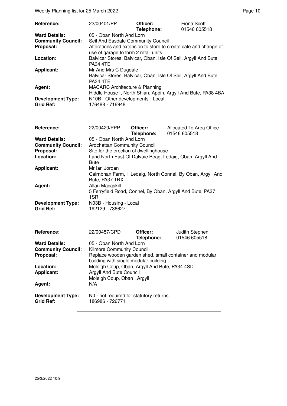| Reference:                | 22/00401/PP                                                                                             | Officer:<br>Telephone: | <b>Fiona Scott</b><br>01546 605518 |
|---------------------------|---------------------------------------------------------------------------------------------------------|------------------------|------------------------------------|
| <b>Ward Details:</b>      | 05 - Oban North And Lorn                                                                                |                        |                                    |
| <b>Community Council:</b> | Seil And Easdale Community Council                                                                      |                        |                                    |
| Proposal:                 | Alterations and extension to store to create cafe and change of<br>use of garage to form 2 retail units |                        |                                    |
| Location:                 | Balvicar Stores, Balvicar, Oban, Isle Of Seil, Argyll And Bute,<br><b>PA34 4TE</b>                      |                        |                                    |
| <b>Applicant:</b>         | Mr And Mrs C Dugdale                                                                                    |                        |                                    |
|                           | Balvicar Stores, Balvicar, Oban, Isle Of Seil, Argyll And Bute,<br><b>PA34 4TE</b>                      |                        |                                    |
| Agent:                    | <b>MACARC Architecture &amp; Planning</b>                                                               |                        |                                    |
|                           | Hiddle House, North Shian, Appin, Argyll And Bute, PA38 4BA                                             |                        |                                    |
| <b>Development Type:</b>  | N10B - Other developments - Local                                                                       |                        |                                    |
| <b>Grid Ref:</b>          | 176488 - 716948                                                                                         |                        |                                    |

| <b>Reference:</b>         | 22/00420/PPP                                              | Officer:<br>Telephone: | Allocated To Area Office<br>01546 605518                    |
|---------------------------|-----------------------------------------------------------|------------------------|-------------------------------------------------------------|
| <b>Ward Details:</b>      | 05 - Oban North And Lorn                                  |                        |                                                             |
| <b>Community Council:</b> | <b>Ardchattan Community Council</b>                       |                        |                                                             |
| Proposal:                 | Site for the erection of dwellinghouse                    |                        |                                                             |
| Location:                 | Bute                                                      |                        | Land North East Of Dalvuie Beag, Ledaig, Oban, Argyll And   |
| <b>Applicant:</b>         | Mr Ian Jordan                                             |                        |                                                             |
|                           | Bute, PA37 1RX                                            |                        | Cairnbhan Farm, 1 Ledaig, North Connel, By Oban, Argyll And |
| Agent:                    | Allan Macaskill                                           |                        |                                                             |
|                           | 5 Ferryfield Road, Connel, By Oban, Argyll And Bute, PA37 |                        |                                                             |
| <b>Development Type:</b>  | 1SR.<br>N03B - Housing - Local                            |                        |                                                             |
| Grid Ref:                 | 192129 - 736627                                           |                        |                                                             |
|                           |                                                           |                        |                                                             |
|                           |                                                           |                        |                                                             |
| Reference:                | 22/00457/CPD                                              | Officer:               | Judith Stephen                                              |
|                           |                                                           | Telenhone:             | 01546 605518                                                |

|                                              | Telephone:<br>01546 605518                                 |
|----------------------------------------------|------------------------------------------------------------|
| <b>Ward Details:</b>                         | 05 - Oban North And Lorn                                   |
| <b>Community Council:</b>                    | <b>Kilmore Community Council</b>                           |
| Proposal:                                    | Replace wooden garden shed, small container and modular    |
|                                              | building with single modular building                      |
| Location:                                    | Moleigh Coup, Oban, Argyll And Bute, PA34 4SD              |
| <b>Applicant:</b>                            | Argyll And Bute Council                                    |
|                                              | Moleigh Coup, Oban, Argyll                                 |
| Agent:                                       | N/A                                                        |
| <b>Development Type:</b><br><b>Grid Ref:</b> | NO - not required for statutory returns<br>186986 - 726771 |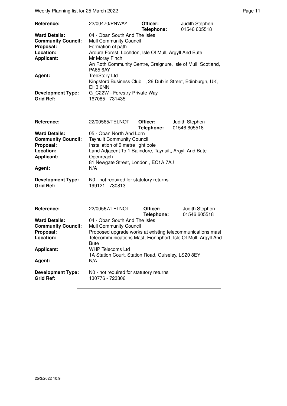Weekly Planning list for 25 March 2022 **Page 11** Assembly Page 11

| Reference:<br><b>Ward Details:</b><br><b>Community Council:</b><br>Proposal:<br>Location:<br><b>Applicant:</b><br>Agent:<br><b>Development Type:</b><br><b>Grid Ref:</b> | 22/00470/PNWAY<br>04 - Oban South And The Isles<br><b>Mull Community Council</b><br>Formation of path<br>Ardura Forest, Lochdon, Isle Of Mull, Argyll And Bute<br>Mr Moray Finch<br>An Roth Community Centre, Craignure, Isle of Mull, Scotland,<br><b>PA65 6AY</b><br><b>TreeStory Ltd</b><br>Kingsford Business Club , 26 Dublin Street, Edinburgh, UK,<br>EH3 6NN<br>G C22W - Forestry Private Way<br>167085 - 731435 | Officer:<br>Telephone: | Judith Stephen<br>01546 605518 |
|--------------------------------------------------------------------------------------------------------------------------------------------------------------------------|--------------------------------------------------------------------------------------------------------------------------------------------------------------------------------------------------------------------------------------------------------------------------------------------------------------------------------------------------------------------------------------------------------------------------|------------------------|--------------------------------|
| Reference:<br><b>Ward Details:</b><br><b>Community Council:</b><br>Proposal:<br>Location:<br><b>Applicant:</b><br>Agent:<br><b>Development Type:</b><br><b>Grid Ref:</b> | 22/00565/TELNOT<br>05 - Oban North And Lorn<br><b>Taynuilt Community Council</b><br>Installation of 9 metre light pole<br>Land Adjacent To 1 Balindore, Taynuilt, Argyll And Bute<br>Openreach<br>81 Newgate Street, London, EC1A 7AJ<br>N/A<br>N0 - not required for statutory returns<br>199121 - 730813                                                                                                               | Officer:<br>Telephone: | Judith Stephen<br>01546 605518 |
| Reference:<br><b>Ward Details:</b><br><b>Community Council:</b><br>Proposal:<br>Location:<br><b>Applicant:</b><br>Agent:<br><b>Development Type:</b><br><b>Grid Ref:</b> | 22/00567/TELNOT<br>04 - Oban South And The Isles<br><b>Mull Community Council</b><br>Proposed upgrade works at existing telecommunications mast<br>Telecommunications Mast, Fionnphort, Isle Of Mull, Argyll And<br><b>Bute</b><br><b>WHP Telecoms Ltd</b><br>1A Station Court, Station Road, Guiseley, LS20 8EY<br>N/A<br>N0 - not required for statutory returns<br>130776 - 723306                                    | Officer:<br>Telephone: | Judith Stephen<br>01546 605518 |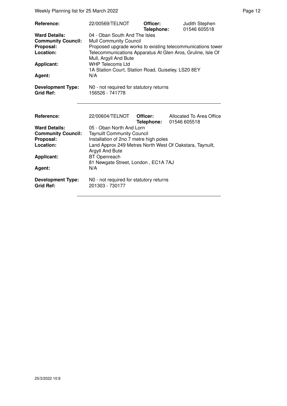Weekly Planning list for 25 March 2022 **Page 12** Page 12

| Reference:<br><b>Ward Details:</b><br><b>Community Council:</b><br>Proposal:<br>Location:<br><b>Applicant:</b><br>Agent: | 22/00569/TELNOT<br>04 - Oban South And The Isles<br><b>Mull Community Council</b><br>Mull, Argyll And Bute<br><b>WHP Telecoms Ltd</b><br>1A Station Court, Station Road, Guiseley, LS20 8EY<br>N/A | Officer:<br>Telephone: | Judith Stephen<br>01546 605518<br>Proposed upgrade works to existing telecommunications tower<br>Telecommunications Apparatus At Glen Aros, Gruline, Isle Of |
|--------------------------------------------------------------------------------------------------------------------------|----------------------------------------------------------------------------------------------------------------------------------------------------------------------------------------------------|------------------------|--------------------------------------------------------------------------------------------------------------------------------------------------------------|
| <b>Development Type:</b><br><b>Grid Ref:</b>                                                                             | N0 - not required for statutory returns<br>156526 - 741778                                                                                                                                         |                        |                                                                                                                                                              |
| Reference:                                                                                                               | 22/00604/TELNOT                                                                                                                                                                                    | Officer:<br>Telephone: | Allocated To Area Office<br>01546 605518                                                                                                                     |
| <b>Ward Details:</b><br><b>Community Council:</b><br>Proposal:<br>Location:<br><b>Applicant:</b><br>Agent:               | 05 - Oban North And Lorn<br><b>Taynuilt Community Council</b><br>Installation of 2no 7 metre high poles<br>Argyll And Bute<br><b>BT</b> Openreach<br>81 Newgate Street, London, EC1A 7AJ<br>N/A    |                        | Land Approx 249 Metres North West Of Oakstara, Taynuilt,                                                                                                     |
| <b>Development Type:</b><br><b>Grid Ref:</b>                                                                             | N0 - not required for statutory returns<br>201303 - 730177                                                                                                                                         |                        |                                                                                                                                                              |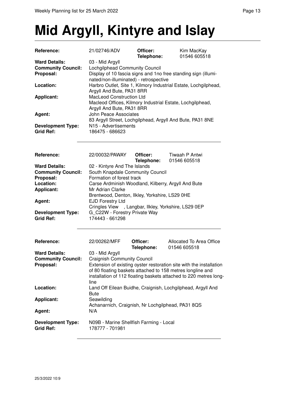### **Mid Argyll, Kintyre and Islay**

| Reference:                                   | 21/02746/ADV                                                                                                       | Officer:<br>Telephone: | Kim MacKay<br>01546 605518                                                                                                                                                                             |
|----------------------------------------------|--------------------------------------------------------------------------------------------------------------------|------------------------|--------------------------------------------------------------------------------------------------------------------------------------------------------------------------------------------------------|
| <b>Ward Details:</b>                         | 03 - Mid Argyll                                                                                                    |                        |                                                                                                                                                                                                        |
| <b>Community Council:</b>                    | Lochgilphead Community Council                                                                                     |                        |                                                                                                                                                                                                        |
| Proposal:                                    | nated/non-illuminated) - retrospective                                                                             |                        | Display of 10 fascia signs and 1no free standing sign (illumi-                                                                                                                                         |
| Location:                                    | Argyll And Bute, PA31 8RR                                                                                          |                        | Harbro Outlet, Site 1, Kilmory Industrial Estate, Lochgilphead,                                                                                                                                        |
| <b>Applicant:</b>                            | MacLeod Construction Ltd<br>Macleod Offices, Kilmory Industrial Estate, Lochgilphead,<br>Argyll And Bute, PA31 8RR |                        |                                                                                                                                                                                                        |
| Agent:                                       | <b>John Peace Associates</b>                                                                                       |                        | 83 Argyll Street, Lochgilphead, Argyll And Bute, PA31 8NE                                                                                                                                              |
| <b>Development Type:</b><br><b>Grid Ref:</b> | N15 - Advertisements<br>186475 - 686623                                                                            |                        |                                                                                                                                                                                                        |
| Reference:                                   | 22/00032/PAWAY                                                                                                     | Officer:<br>Telephone: | Tiwaah P Antwi<br>01546 605518                                                                                                                                                                         |
| <b>Ward Details:</b>                         | 02 - Kintyre And The Islands                                                                                       |                        |                                                                                                                                                                                                        |
| <b>Community Council:</b>                    | South Knapdale Community Council                                                                                   |                        |                                                                                                                                                                                                        |
| Proposal:                                    | Formation of forest track<br>Carse Ardminish Woodland, Kilberry, Argyll And Bute<br>Mr Adrian Clarke               |                        |                                                                                                                                                                                                        |
| Location:                                    |                                                                                                                    |                        |                                                                                                                                                                                                        |
| <b>Applicant:</b>                            |                                                                                                                    |                        |                                                                                                                                                                                                        |
|                                              |                                                                                                                    |                        |                                                                                                                                                                                                        |
|                                              | Brentwood, Denton, Ilkley, Yorkshire, LS29 0HE                                                                     |                        |                                                                                                                                                                                                        |
| Agent:                                       | <b>EJD Forestry Ltd</b>                                                                                            |                        |                                                                                                                                                                                                        |
|                                              | Cringles View , Langbar, Ilkley, Yorkshire, LS29 0EP                                                               |                        |                                                                                                                                                                                                        |
| <b>Development Type:</b><br><b>Grid Ref:</b> | G C22W - Forestry Private Way<br>174443 - 661298                                                                   |                        |                                                                                                                                                                                                        |
| Reference:                                   | 22/00262/MFF                                                                                                       | Officer:<br>Telephone: | Allocated To Area Office<br>01546 605518                                                                                                                                                               |
| <b>Ward Details:</b>                         | 03 - Mid Argyll                                                                                                    |                        |                                                                                                                                                                                                        |
|                                              |                                                                                                                    |                        |                                                                                                                                                                                                        |
| <b>Community Council:</b>                    | <b>Craignish Community Council</b>                                                                                 |                        |                                                                                                                                                                                                        |
| Proposal:                                    | line                                                                                                               |                        | Extension of existing oyster restoration site with the installation<br>of 80 floating baskets attached to 158 metres longline and<br>installation of 112 floating baskets attached to 220 metres long- |
| Location:                                    | Bute                                                                                                               |                        | Land Off Eilean Buidhe, Craignish, Lochgilphead, Argyll And                                                                                                                                            |
| <b>Applicant:</b>                            | Seawilding<br>Achanarnich, Craignish, Nr Lochgilphead, PA31 8QS                                                    |                        |                                                                                                                                                                                                        |
| Agent:                                       | N/A                                                                                                                |                        |                                                                                                                                                                                                        |
| <b>Development Type:</b><br><b>Grid Ref:</b> | N09B - Marine Shellfish Farming - Local<br>178777 - 701981                                                         |                        |                                                                                                                                                                                                        |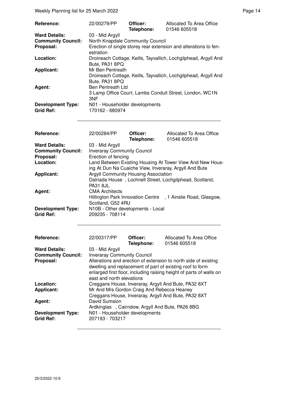Weekly Planning list for 25 March 2022 **Page 14** Page 14

| Reference:                                   | 22/00279/PP                                       | Officer:<br>Telephone: | Allocated To Area Office<br>01546 605518                         |
|----------------------------------------------|---------------------------------------------------|------------------------|------------------------------------------------------------------|
| <b>Ward Details:</b>                         | 03 - Mid Argyll                                   |                        |                                                                  |
| <b>Community Council:</b>                    | North Knapdale Community Council                  |                        |                                                                  |
| Proposal:                                    | estration                                         |                        | Erection of single storey rear extension and alterations to fen- |
| Location:                                    | Bute, PA31 8PQ                                    |                        | Droineach Cottage, Keills, Tayvallich, Lochgilphead, Argyll And  |
| <b>Applicant:</b>                            | Mr Ben Pentreath                                  |                        |                                                                  |
| Agent:                                       | Bute, PA31 8PQ<br><b>Ben Pentreath Ltd</b>        |                        | Droineach Cottage, Keills, Tayvallich, Lochgilphead, Argyll And  |
|                                              | 3NF                                               |                        | 3 Lamp Office Court, Lambs Conduit Street, London, WC1N          |
| <b>Development Type:</b><br><b>Grid Ref:</b> | N01 - Householder developments<br>170162 - 680974 |                        |                                                                  |

| <b>Reference:</b>                            | 22/00284/PP                                             | Officer:<br>Telephone: | Allocated To Area Office<br>01546 605518                                                                            |
|----------------------------------------------|---------------------------------------------------------|------------------------|---------------------------------------------------------------------------------------------------------------------|
| <b>Ward Details:</b>                         | 03 - Mid Argyll                                         |                        |                                                                                                                     |
| <b>Community Council:</b>                    | <b>Inveraray Community Council</b>                      |                        |                                                                                                                     |
| Proposal:                                    | Erection of fencing                                     |                        |                                                                                                                     |
| Location:                                    |                                                         |                        | Land Between Existing Housing At Tower View And New Hous-<br>ing At Dun Na Cuaiche View, Inveraray, Argyll And Bute |
| <b>Applicant:</b>                            | Argyll Community Housing Association<br><b>PA31 8JL</b> |                        | Dalriada House, Lochnell Street, Lochgilphead, Scotland,                                                            |
| Agent:                                       | <b>CMA Architects</b><br>Scotland, G52 4RU              |                        | Hillington Park Innovation Centre, 1 Ainslie Road, Glasgow,                                                         |
| <b>Development Type:</b><br><b>Grid Ref:</b> | N10B - Other developments - Local<br>209235 - 708114    |                        |                                                                                                                     |

| Reference:                                   | 22/00317/PP                                                      | Officer:<br>Telephone: | Allocated To Area Office<br>01546 605518                                                                                                                                                            |
|----------------------------------------------|------------------------------------------------------------------|------------------------|-----------------------------------------------------------------------------------------------------------------------------------------------------------------------------------------------------|
| <b>Ward Details:</b>                         | 03 - Mid Argyll                                                  |                        |                                                                                                                                                                                                     |
| <b>Community Council:</b>                    | <b>Inveraray Community Council</b>                               |                        |                                                                                                                                                                                                     |
| Proposal:                                    | east and north elevations                                        |                        | Alterations and erection of extension to north side of existing<br>dwelling and replacement of part of existing roof to form<br>enlarged first floor, including raising height of parts of walls on |
| Location:                                    |                                                                  |                        | Creggans House, Inveraray, Argyll And Bute, PA32 8XT                                                                                                                                                |
| <b>Applicant:</b>                            | Mr And Mrs Gordon Craig And Rebecca Heaney                       |                        | Creggans House, Inveraray, Argyll And Bute, PA32 8XT                                                                                                                                                |
| Agent:                                       | David Sumsion<br>Ardkinglas, Cairndow, Argyll And Bute, PA26 8BG |                        |                                                                                                                                                                                                     |
| <b>Development Type:</b><br><b>Grid Ref:</b> | N01 - Householder developments<br>207193 - 703217                |                        |                                                                                                                                                                                                     |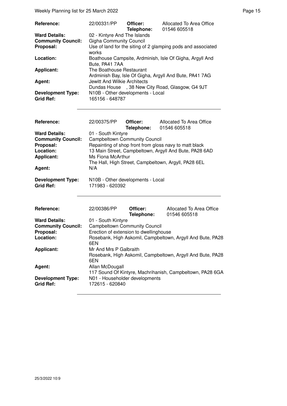| <b>Reference:</b>                            | 22/00331/PP                                          | Officer:<br>Telephone: | Allocated To Area Office<br>01546 605518                     |
|----------------------------------------------|------------------------------------------------------|------------------------|--------------------------------------------------------------|
| <b>Ward Details:</b>                         | 02 - Kintyre And The Islands                         |                        |                                                              |
| <b>Community Council:</b>                    | <b>Gigha Community Council</b>                       |                        |                                                              |
| Proposal:                                    | works                                                |                        | Use of land for the siting of 2 glamping pods and associated |
| Location:                                    | Bute, PA41 7AA                                       |                        | Boathouse Campsite, Ardminish, Isle Of Gigha, Argyll And     |
| <b>Applicant:</b>                            | The Boathouse Restaurant                             |                        | Ardminish Bay, Isle Of Gigha, Argyll And Bute, PA41 7AG      |
| Agent:                                       | Jewitt And Wilkie Architects                         |                        |                                                              |
|                                              |                                                      |                        | Dundas House , 38 New City Road, Glasgow, G4 9JT             |
| <b>Development Type:</b><br><b>Grid Ref:</b> | N10B - Other developments - Local<br>165156 - 648787 |                        |                                                              |

| Reference:                            | 22/00375/PP                                            | Officer:<br>Telephone: | Allocated To Area Office<br>01546 605518 |  |  |  |
|---------------------------------------|--------------------------------------------------------|------------------------|------------------------------------------|--|--|--|
| <b>Ward Details:</b>                  | 01 - South Kintyre                                     |                        |                                          |  |  |  |
| <b>Community Council:</b>             | <b>Campbeltown Community Council</b>                   |                        |                                          |  |  |  |
| Proposal:                             | Repainting of shop front from gloss navy to matt black |                        |                                          |  |  |  |
| Location:                             | 13 Main Street, Campbeltown, Argyll And Bute, PA28 6AD |                        |                                          |  |  |  |
| <b>Applicant:</b>                     | Ms Fiona McArthur                                      |                        |                                          |  |  |  |
|                                       | The Hall, High Street, Campbeltown, Argyll, PA28 6EL   |                        |                                          |  |  |  |
| Agent:                                | N/A                                                    |                        |                                          |  |  |  |
| <b>Development Type:</b><br>Grid Ref: | N10B - Other developments - Local<br>171983 - 620392   |                        |                                          |  |  |  |

| Reference:                                   | 22/00386/PP                                                                                 | Officer:<br>Telephone: | Allocated To Area Office<br>01546 605518                  |  |  |
|----------------------------------------------|---------------------------------------------------------------------------------------------|------------------------|-----------------------------------------------------------|--|--|
| <b>Ward Details:</b>                         | 01 - South Kintyre                                                                          |                        |                                                           |  |  |
| <b>Community Council:</b>                    | <b>Campbeltown Community Council</b>                                                        |                        |                                                           |  |  |
| Proposal:                                    | Erection of extension to dwellinghouse                                                      |                        |                                                           |  |  |
| Location:                                    | Rosebank, High Askomil, Campbeltown, Argyll And Bute, PA28<br>6EN                           |                        |                                                           |  |  |
| Applicant:                                   | Mr And Mrs P Galbraith<br>Rosebank, High Askomil, Campbeltown, Argyll And Bute, PA28<br>6EN |                        |                                                           |  |  |
| Agent:                                       | Allan McDougall                                                                             |                        | 117 Sound Of Kintyre, Machrihanish, Campbeltown, PA28 6GA |  |  |
| <b>Development Type:</b><br><b>Grid Ref:</b> | N01 - Householder developments<br>172615 - 620840                                           |                        |                                                           |  |  |